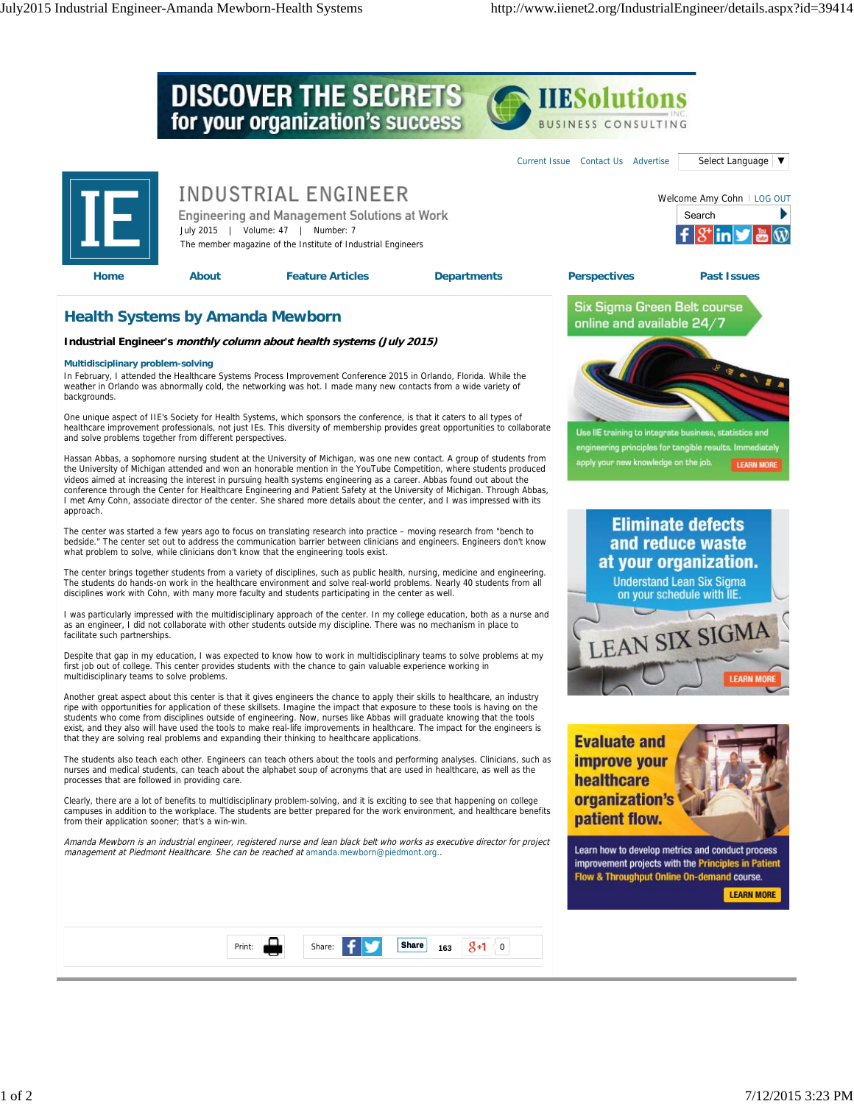